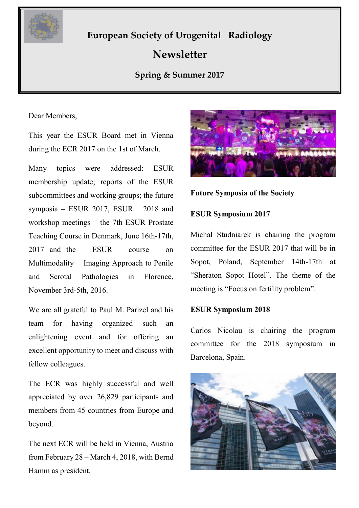

# **European Society of Urogenital Radiology**

# **Newsletter**

### **Spring & Summer 2017**

**utumn & Winter 2016**

Dear Members,

This year the ESUR Board met in Vienna during the ECR 2017 on the 1st of March.

Many topics were addressed: ESUR membership update; reports of the ESUR subcommittees and working groups; the future symposia – ESUR  $2017$ , ESUR  $2018$  and workshop meetings – the 7th ESUR Prostate Teaching Course in Denmark, June 16th-17th, 2017 and the ESUR course on Multimodality Imaging Approach to Penile and Scrotal Pathologies in Florence, November 3rd-5th, 2016.

We are all grateful to Paul M. Parizel and his team for having organized such an enlightening event and for offering an excellent opportunity to meet and discuss with fellow colleagues.

The ECR was highly successful and well appreciated by over 26,829 participants and members from 45 countries from Europe and beyond.

The next ECR will be held in Vienna, Austria from February 28 – March 4, 2018, with Bernd Hamm as president.



### **Future Symposia of the Society**

### **ESUR Symposium 2017**

Michal Studniarek is chairing the program committee for the ESUR 2017 that will be in Sopot, Poland, September 14th-17th at "Sheraton Sopot Hotel". The theme of the meeting is "Focus on fertility problem".

### **ESUR Symposium 2018**

Carlos Nicolau is chairing the program committee for the 2018 symposium in Barcelona, Spain.

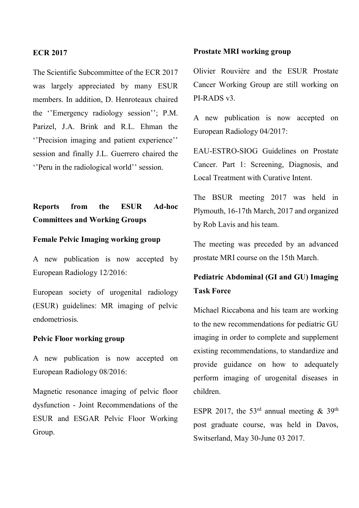### **ECR 2017**

The Scientific Subcommittee of the ECR 2017 was largely appreciated by many ESUR members. In addition, D. Henroteaux chaired the ''Emergency radiology session''; P.M. Parizel, J.A. Brink and R.L. Ehman the ''Precision imaging and patient experience'' session and finally J.L. Guerrero chaired the ''Peru in the radiological world'' session.

### **Reports from the ESUR Ad-hoc Committees and Working Groups**

### **Female Pelvic Imaging working group**

A new publication is now accepted by European Radiology 12/2016:

European society of urogenital radiology (ESUR) guidelines: MR imaging of pelvic endometriosis.

#### **Pelvic Floor working group**

A new publication is now accepted on European Radiology 08/2016:

Magnetic resonance imaging of pelvic floor dysfunction - Joint Recommendations of the ESUR and ESGAR Pelvic Floor Working Group.

#### **Prostate MRI working group**

Olivier Rouvière and the ESUR Prostate Cancer Working Group are still working on PI-RADS v3.

A new publication is now accepted on European Radiology 04/2017:

EAU-ESTRO-SIOG Guidelines on Prostate Cancer. Part 1: Screening, Diagnosis, and Local Treatment with Curative Intent.

The BSUR meeting 2017 was held in Plymouth, 16-17th March, 2017 and organized by Rob Lavis and his team.

The meeting was preceded by an advanced prostate MRI course on the 15th March.

### **Pediatric Abdominal (GI and GU) Imaging Task Force**

Michael Riccabona and his team are working to the new recommendations for pediatric GU imaging in order to complete and supplement existing recommendations, to standardize and provide guidance on how to adequately perform imaging of urogenital diseases in children.

ESPR 2017, the 53<sup>rd</sup> annual meeting  $\&$  39<sup>th</sup> post graduate course, was held in Davos, Switserland, May 30-June 03 2017.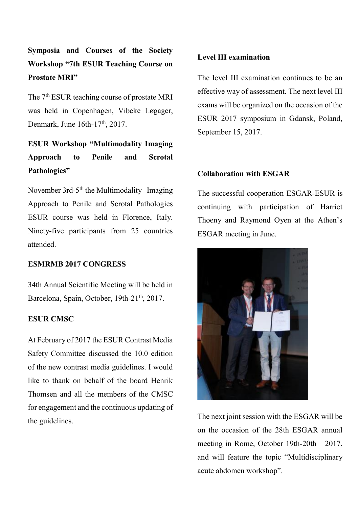# **Symposia and Courses of the Society Workshop "7th ESUR Teaching Course on Prostate MRI"**

The 7<sup>th</sup> ESUR teaching course of prostate MRI was held in Copenhagen, Vibeke Løgager, Denmark, June 16th-17<sup>th</sup>, 2017.

# **ESUR Workshop "Multimodality Imaging Approach to Penile and Scrotal Pathologies"**

November 3rd-5<sup>th</sup> the Multimodality Imaging Approach to Penile and Scrotal Pathologies ESUR course was held in Florence, Italy. Ninety-five participants from 25 countries attended.

### **ESMRMB 2017 CONGRESS**

34th Annual Scientific Meeting will be held in Barcelona, Spain, October, 19th-21<sup>th</sup>, 2017.

### **ESUR CMSC**

At February of 2017 the ESUR Contrast Media Safety Committee discussed the 10.0 edition of the new contrast media guidelines. I would like to thank on behalf of the board Henrik Thomsen and all the members of the CMSC for engagement and the continuous updating of the guidelines.

### **Level III examination**

The level III examination continues to be an effective way of assessment. The next level III exams will be organized on the occasion of the ESUR 2017 symposium in Gdansk, Poland, September 15, 2017.

### **Collaboration with ESGAR**

The successful cooperation ESGAR-ESUR is continuing with participation of Harriet Thoeny and Raymond Oyen at the Athen's ESGAR meeting in June.



The next joint session with the ESGAR will be on the occasion of the 28th ESGAR annual meeting in Rome, October 19th-20th 2017, and will feature the topic "Multidisciplinary acute abdomen workshop".